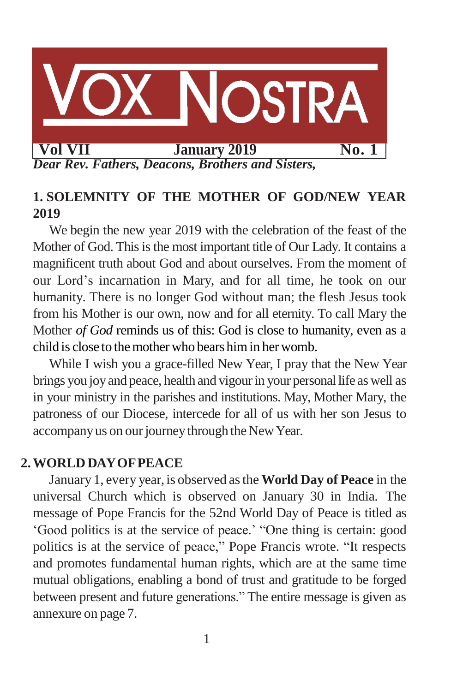

## **1. SOLEMNITY OF THE MOTHER OF GOD/NEW YEAR 2019**

We begin the new year 2019 with the celebration of the feast of the Mother of God. This is the most important title of Our Lady. It contains a magnificent truth about God and about ourselves. From the moment of our Lord's incarnation in Mary, and for all time, he took on our humanity. There is no longer God without man; the flesh Jesus took from his Mother is our own, now and for all eternity. To call Mary the Mother *of God* reminds us of this: God is close to humanity, even as a child is close to themother who bears himin herwomb.

While I wish you a grace-filled New Year, I pray that the New Year brings you joy and peace, health and vigour in your personal life as well as in your ministry in the parishes and institutions. May, Mother Mary, the patroness of our Diocese, intercede for all of us with her son Jesus to accompany us on our journey through the New Year.

## **2.WORLD DAYOFPEACE**

January 1, every year, is observed asthe **World Day of Peace** in the universal Church which is observed on January 30 in India. The message of Pope Francis for the 52nd World Day of Peace is titled as 'Good politics is at the service of peace.' "One thing is certain: good politics is at the service of peace," Pope Francis wrote. "It respects and promotes fundamental human rights, which are at the same time mutual obligations, enabling a bond of trust and gratitude to be forged between present and future generations." The entire message is given as annexure on page 7.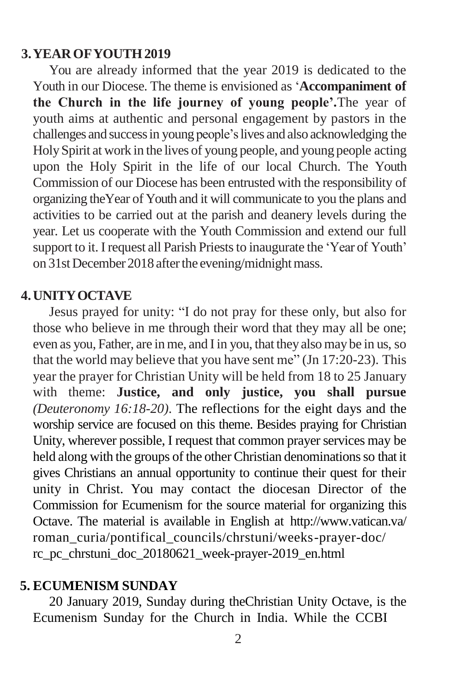### **3.YEAROFYOUTH2019**

You are already informed that the year 2019 is dedicated to the Youth in our Diocese. The theme is envisioned as '**Accompaniment of the Church in the life journey of young people'.**The year of youth aims at authentic and personal engagement by pastors in the challenges and success in young people's lives and also acknowledging the HolySpirit at work in the lives of young people, and young people acting upon the Holy Spirit in the life of our local Church. The Youth Commission of our Diocese has been entrusted with the responsibility of organizing theYear of Youth and it will communicate to you the plans and activities to be carried out at the parish and deanery levels during the year. Let us cooperate with the Youth Commission and extend our full support to it. I request all Parish Priests to inaugurate the 'Year of Youth' on 31st December 2018 after the evening/midnight mass.

### **4.UNITYOCTAVE**

Jesus prayed for unity: "I do not pray for these only, but also for those who believe in me through their word that they may all be one; even as you, Father, are inme, and Iin you, that they also may be in us, so that the world may believe that you have sent me" (Jn 17:20-23). This year the prayer for Christian Unity will be held from 18 to 25 January with theme: **Justice, and only justice, you shall pursue**  *(Deuteronomy 16:18-20)*. The reflections for the eight days and the worship service are focused on this theme. Besides praying for Christian Unity, wherever possible, I request that common prayer services may be held along with the groups of the other Christian denominations so that it gives Christians an annual opportunity to continue their quest for their unity in Christ. You may contact the diocesan Director of the Commission for Ecumenism for the source material for organizing this Octave. The material is available in English at <http://www.vatican.va/> roman\_curia/pontifical\_councils/chrstuni/weeks-prayer-doc/ rc\_pc\_chrstuni\_doc\_20180621\_week-prayer-2019\_en.html

#### **5. ECUMENISM SUNDAY**

20 January 2019, Sunday during theChristian Unity Octave, is the Ecumenism Sunday for the Church in India. While the CCBI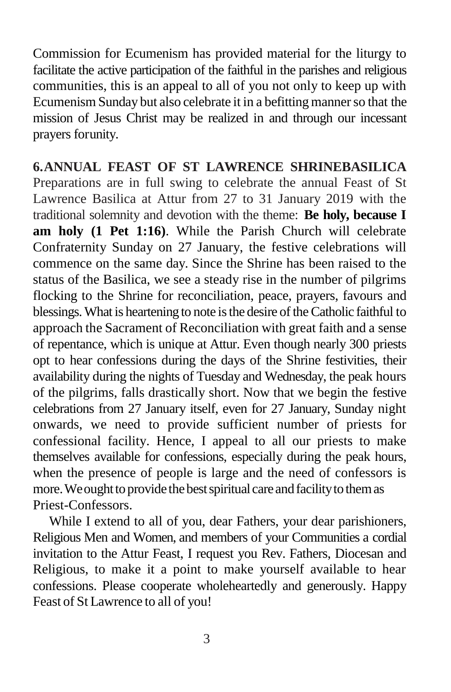Commission for Ecumenism has provided material for the liturgy to facilitate the active participation of the faithful in the parishes and religious communities, this is an appeal to all of you not only to keep up with Ecumenism Sunday but also celebrate it in a befitting manner so that the mission of Jesus Christ may be realized in and through our incessant prayers forunity.

**6.ANNUAL FEAST OF ST LAWRENCE SHRINEBASILICA**  Preparations are in full swing to celebrate the annual Feast of St Lawrence Basilica at Attur from 27 to 31 January 2019 with the traditional solemnity and devotion with the theme: **Be holy, because I am holy (1 Pet 1:16)**. While the Parish Church will celebrate Confraternity Sunday on 27 January, the festive celebrations will commence on the same day. Since the Shrine has been raised to the status of the Basilica, we see a steady rise in the number of pilgrims flocking to the Shrine for reconciliation, peace, prayers, favours and blessings. What is heartening to note is the desire of the Catholic faithful to approach the Sacrament of Reconciliation with great faith and a sense of repentance, which is unique at Attur. Even though nearly 300 priests opt to hear confessions during the days of the Shrine festivities, their availability during the nights of Tuesday and Wednesday, the peak hours of the pilgrims, falls drastically short. Now that we begin the festive celebrations from 27 January itself, even for 27 January, Sunday night onwards, we need to provide sufficient number of priests for confessional facility. Hence, I appeal to all our priests to make themselves available for confessions, especially during the peak hours, when the presence of people is large and the need of confessors is more. We ought to provide the best spiritual care and facility to them as Priest-Confessors.

While I extend to all of you, dear Fathers, your dear parishioners, Religious Men and Women, and members of your Communities a cordial invitation to the Attur Feast, I request you Rev. Fathers, Diocesan and Religious, to make it a point to make yourself available to hear confessions. Please cooperate wholeheartedly and generously. Happy Feast of St Lawrence to all of you!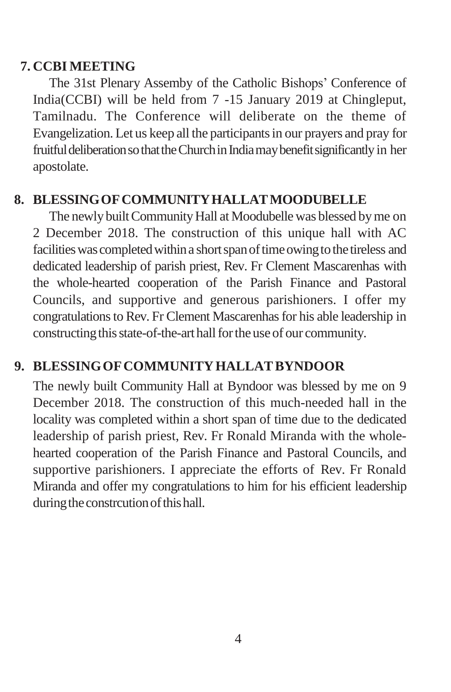## **7. CCBI MEETING**

The 31st Plenary Assemby of the Catholic Bishops' Conference of India(CCBI) will be held from 7 -15 January 2019 at Chingleput, Tamilnadu. The Conference will deliberate on the theme of Evangelization. Let us keep all the participantsin our prayers and pray for fruitful deliberation so that the Church in India may benefit significantly in her apostolate.

# **8. BLESSINGOFCOMMUNITYHALLATMOODUBELLE**

The newly built Community Hall at Moodubelle was blessed by me on 2 December 2018. The construction of this unique hall with AC facilities was completed within a short span of time owing to the tireless and dedicated leadership of parish priest, Rev. Fr Clement Mascarenhas with the whole-hearted cooperation of the Parish Finance and Pastoral Councils, and supportive and generous parishioners. I offer my congratulations to Rev. Fr Clement Mascarenhas for his able leadership in constructing this state-of-the-art hall for the use of our community.

# **9. BLESSINGOFCOMMUNITYHALLATBYNDOOR**

The newly built Community Hall at Byndoor was blessed by me on 9 December 2018. The construction of this much-needed hall in the locality was completed within a short span of time due to the dedicated leadership of parish priest, Rev. Fr Ronald Miranda with the wholehearted cooperation of the Parish Finance and Pastoral Councils, and supportive parishioners. I appreciate the efforts of Rev. Fr Ronald Miranda and offer my congratulations to him for his efficient leadership during the constrcution of this hall.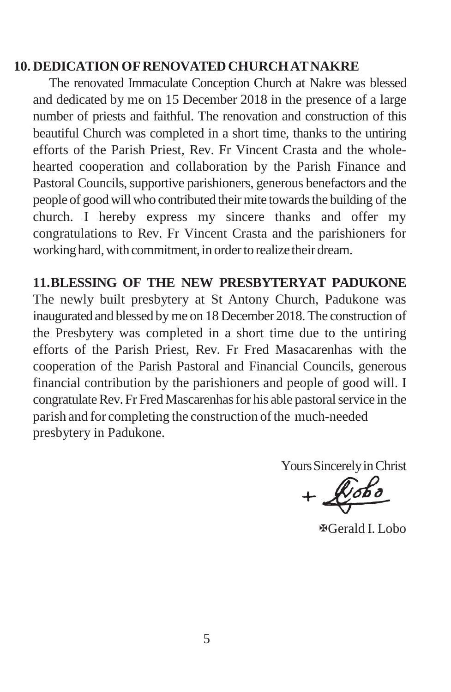### **10. DEDICATION OFRENOVATEDCHURCHATNAKRE**

The renovated Immaculate Conception Church at Nakre was blessed and dedicated by me on 15 December 2018 in the presence of a large number of priests and faithful. The renovation and construction of this beautiful Church was completed in a short time, thanks to the untiring efforts of the Parish Priest, Rev. Fr Vincent Crasta and the wholehearted cooperation and collaboration by the Parish Finance and Pastoral Councils, supportive parishioners, generous benefactors and the people of good will who contributed their mite towards the building of the church. I hereby express my sincere thanks and offer my congratulations to Rev. Fr Vincent Crasta and the parishioners for working hard, with commitment, in order to realize their dream.

**11.BLESSING OF THE NEW PRESBYTERYAT PADUKONE** The newly built presbytery at St Antony Church, Padukone was inaugurated and blessed by me on 18 December 2018. The construction of the Presbytery was completed in a short time due to the untiring efforts of the Parish Priest, Rev. Fr Fred Masacarenhas with the cooperation of the Parish Pastoral and Financial Councils, generous financial contribution by the parishioners and people of good will. I congratulate Rev. Fr Fred Mascarenhas for his able pastoral service in the parish and for completing the construction of the much-needed presbytery in Padukone.

Yours Sincerely in Christ

Gerald I. Lobo